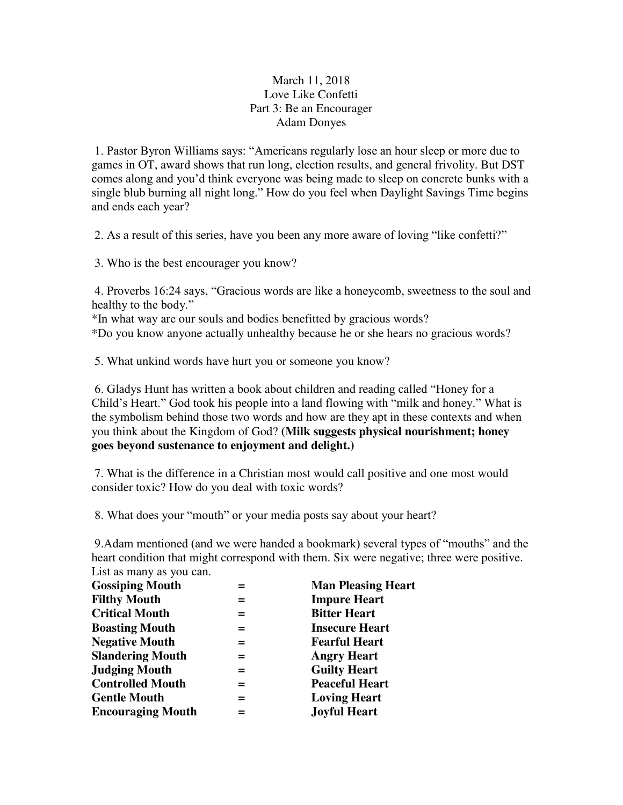## March 11, 2018 Love Like Confetti Part 3: Be an Encourager Adam Donyes

1. Pastor Byron Williams says: "Americans regularly lose an hour sleep or more due to games in OT, award shows that run long, election results, and general frivolity. But DST comes along and you'd think everyone was being made to sleep on concrete bunks with a single blub burning all night long." How do you feel when Daylight Savings Time begins and ends each year?

2. As a result of this series, have you been any more aware of loving "like confetti?"

3. Who is the best encourager you know?

 4. Proverbs 16:24 says, "Gracious words are like a honeycomb, sweetness to the soul and healthy to the body."

\*In what way are our souls and bodies benefitted by gracious words? \*Do you know anyone actually unhealthy because he or she hears no gracious words?

5. What unkind words have hurt you or someone you know?

6. Gladys Hunt has written a book about children and reading called "Honey for a Child's Heart." God took his people into a land flowing with "milk and honey." What is the symbolism behind those two words and how are they apt in these contexts and when you think about the Kingdom of God? **(Milk suggests physical nourishment; honey goes beyond sustenance to enjoyment and delight.)** 

 7. What is the difference in a Christian most would call positive and one most would consider toxic? How do you deal with toxic words?

8. What does your "mouth" or your media posts say about your heart?

9.Adam mentioned (and we were handed a bookmark) several types of "mouths" and the heart condition that might correspond with them. Six were negative; three were positive. List as many as you can.

|     | <b>Man Pleasing Heart</b> |
|-----|---------------------------|
| =   | <b>Impure Heart</b>       |
| =   | <b>Bitter Heart</b>       |
| $=$ | <b>Insecure Heart</b>     |
| =   | <b>Fearful Heart</b>      |
| =   | <b>Angry Heart</b>        |
| =   | <b>Guilty Heart</b>       |
| =   | <b>Peaceful Heart</b>     |
| =   | <b>Loving Heart</b>       |
| =   | <b>Joyful Heart</b>       |
|     |                           |